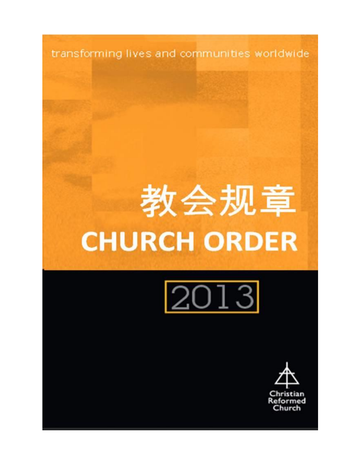transforming lives and communities worldwide

# 教会规章 **CHURCH ORDER**



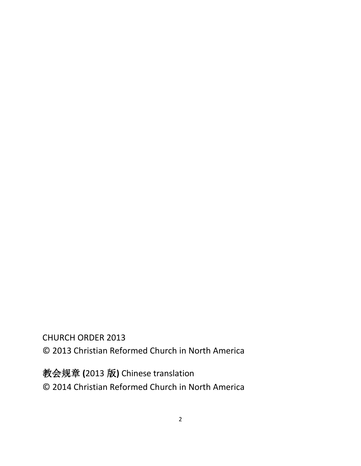CHURCH ORDER 2013 © 2013 Christian Reformed Church in North America

教会规章 **(**2013 版**)** Chinese translation © 2014 Christian Reformed Church in North America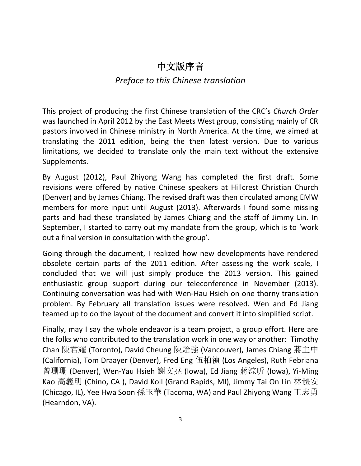## 中文版序言

## *Preface to this Chinese translation*

This project of producing the first Chinese translation of the CRC's *Church Order* was launched in April 2012 by the East Meets West group, consisting mainly of CR pastors involved in Chinese ministry in North America. At the time, we aimed at translating the 2011 edition, being the then latest version. Due to various limitations, we decided to translate only the main text without the extensive Supplements.

By August (2012), Paul Zhiyong Wang has completed the first draft. Some revisions were offered by native Chinese speakers at Hillcrest Christian Church (Denver) and by James Chiang. The revised draft was then circulated among EMW members for more input until August (2013). Afterwards I found some missing parts and had these translated by James Chiang and the staff of Jimmy Lin. In September, I started to carry out my mandate from the group, which is to 'work out a final version in consultation with the group'.

Going through the document, I realized how new developments have rendered obsolete certain parts of the 2011 edition. After assessing the work scale, I concluded that we will just simply produce the 2013 version. This gained enthusiastic group support during our teleconference in November (2013). Continuing conversation was had with Wen-Hau Hsieh on one thorny translation problem. By February all translation issues were resolved. Wen and Ed Jiang teamed up to do the layout of the document and convert it into simplified script.

Finally, may I say the whole endeavor is a team project, a group effort. Here are the folks who contributed to the translation work in one way or another: Timothy Chan 陳君耀 (Toronto), David Cheung 陳貽強 (Vancouver), James Chiang 蔣主中 (California), Tom Draayer (Denver), Fred Eng 伍柏禎 (Los Angeles), Ruth Febriana 曾珊珊 (Denver), Wen-Yau Hsieh 謝文堯 (Iowa), Ed Jiang 蔣淙昕 (Iowa), Yi-Ming Kao 高義明 (Chino, CA ), David Koll (Grand Rapids, MI), Jimmy Tai On Lin 林體安 (Chicago, IL), Yee Hwa Soon 孫玉華 (Tacoma, WA) and Paul Zhiyong Wang 王志勇 (Hearndon, VA).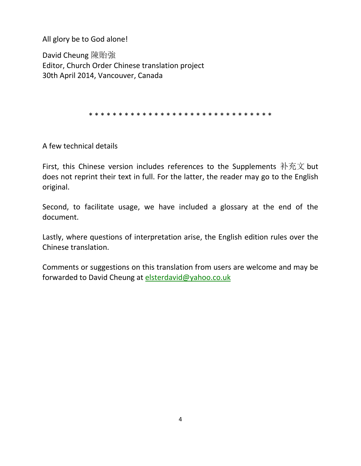All glory be to God alone!

David Cheung 陳貽強 Editor, Church Order Chinese translation project 30th April 2014, Vancouver, Canada

\* \* \* \* \* \* \* \* \* \* \* \* \* \* \* \* \* \* \* \* \* \* \* \* \* \* \* \* \* \* \*

A few technical details

First, this Chinese version includes references to the Supplements 补充文 but does not reprint their text in full. For the latter, the reader may go to the English original.

Second, to facilitate usage, we have included a glossary at the end of the document.

Lastly, where questions of interpretation arise, the English edition rules over the Chinese translation.

Comments or suggestions on this translation from users are welcome and may be forwarded to David Cheung at [elsterdavid@yahoo.co.uk](mailto:elsterdavid@yahoo.co.uk)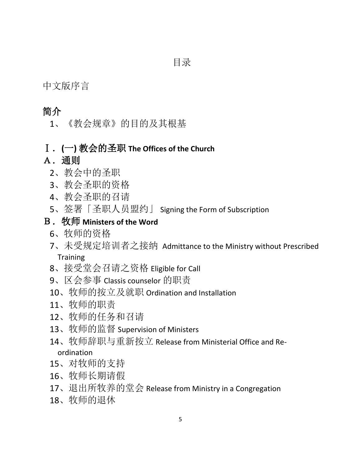中文版序言

## 简介

、《教会规章》的目的及其根基

## Ⅰ.**(**一**)** 教会的圣职 **The Offices of the Church**

## A.通则

- 、教会中的圣职
- 、教会圣职的资格
- 、教会圣职的召请
- 、签署「圣职人员盟约」 Signing the Form of Subscription

## B.牧师 **Ministers of the Word**

- 、牧师的资格
- 、未受规定培训者之接纳 Admittance to the Ministry without Prescribed **Training**
- 、接受堂会召请之资格 Eligible for Call
- 、区会参事 Classis counselor 的职责
- 、牧师的按立及就职 Ordination and Installation
- 、牧师的职责
- 、牧师的任务和召请
- 、牧师的监督 Supervision of Ministers
- 、牧师辞职与重新按立 Release from Ministerial Office and Reordination
- 、对牧师的支持
- 、牧师长期请假
- 、退出所牧养的堂会 Release from Ministry in a Congregation
- 、牧师的退休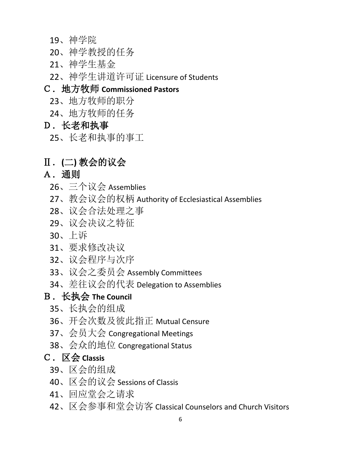- 、神学院
- 、神学教授的任务
- 、神学生基金
- 、神学生讲道许可证 Licensure of Students

## C.地方牧师 **Commissioned Pastors**

- 、地方牧师的职分
- 、地方牧师的任务

## D.长老和执事

、长老和执事的事工

## Ⅱ.**(**二**)** 教会的议会

## A.通则

- 、三个议会 Assemblies
- 、教会议会的权柄 Authority of Ecclesiastical Assemblies
- 、议会合法处理之事
- 、议会决议之特征
- 、上诉
- 、要求修改决议
- 、议会程序与次序
- 、议会之委员会 Assembly Committees
- 、差往议会的代表 Delegation to Assemblies

## B.长执会 **The Council**

- 、长执会的组成
- 、开会次数及彼此指正 Mutual Censure
- 、会员大会 Congregational Meetings
- 、会众的地位 Congregational Status

## C.区会 **Classis**

- 、区会的组成
- 、区会的议会 Sessions of Classis
- 、回应堂会之请求
- 、区会参事和堂会访客 Classical Counselors and Church Visitors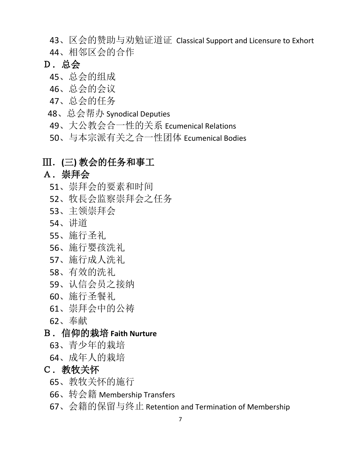- 、区会的赞助与劝勉证道证 Classical Support and Licensure to Exhort
- 、相邻区会的合作
- D.总会
	- 、总会的组成
	- 、总会的会议
	- 、总会的任务
	- 、总会帮办 Synodical Deputies
	- 、大公教会合一性的关系 Ecumenical Relations
	- 、与本宗派有关之合一性团体 Ecumenical Bodies

## Ⅲ.**(**三**)** 教会的任务和事工

## A.崇拜会

- 、崇拜会的要素和时间
- 、牧長会监察崇拜会之任务
- 、主领崇拜会
- 、讲道
- 、施行圣礼
- 、施行婴孩洗礼
- 、施行成人洗礼
- 、有效的洗礼
- 、认信会员之接纳
- 、施行圣餐礼
- 、崇拜会中的公祷
- 、奉献

## B.信仰的栽培 **Faith Nurture**

- 、青少年的栽培
- 、成年人的栽培

#### C. 教牧关怀

- 、教牧关怀的施行
- 、转会籍 Membership Transfers
- 、会籍的保留与终止 Retention and Termination of Membership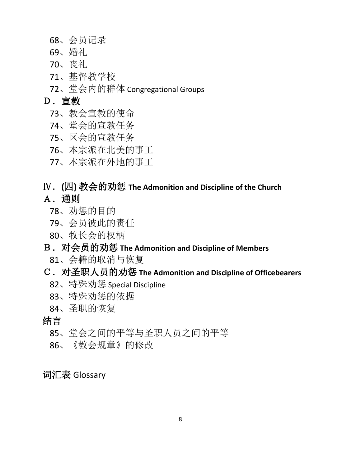- 、会员记录
- 、婚礼
- 、丧礼
- 、基督教学校
- 、堂会内的群体 Congregational Groups

## D.宣教

- 、教会宣教的使命
- 、堂会的宣教任务
- 、区会的宣教任务
- 、本宗派在北美的事工
- 、本宗派在外地的事工

## Ⅳ.**(**四**)** 教会的劝惩 **The Admonition and Discipline of the Church** A.通则

- 、劝惩的目的
- 、会员彼此的责任
- 、牧长会的权柄

## B.对会员的劝惩 **The Admonition and Discipline of Members**

、会籍的取消与恢复

## C.对圣职人员的劝惩 **The Admonition and Discipline of Officebearers**

- 、特殊劝惩 Special Discipline
- 、特殊劝惩的依据
- 、圣职的恢复

#### 结言

- 、堂会之间的平等与圣职人员之间的平等
- 、《教会规章》的修改

## 词汇表 Glossary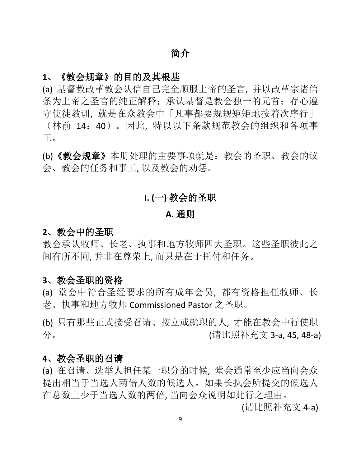## 简介

#### **1**、《教会规章》的目的及其根基

(a) 基督教改革教会认信自己完全顺服上帝的圣言, 并以改革宗诸信 条为上帝之圣言的纯正解释: 承认基督是教会独一的元首; 存心遵 守使徒教训, 就是在众教会中「凡事都要规规矩矩地按着次序行」 (林前 14:40)。因此, 特以以下条款规范教会的组织和各项事 工。

(b)《教会规章》本册处理的主要事项就是:教会的圣职、教会的议 会、教会的任务和事工, 以及教会的劝惩。

### **I. (**一**)** 教会的圣职

#### **A.** 通则

#### **2**、教会中的圣职

教会承认牧师、长老、执事和地方牧师四大圣职。这些圣职彼此之 间有所不同, 并非在尊荣上, 而只是在于托付和任务。

#### **3**、教会圣职的资格

(a) 堂会中符合圣经要求的所有成年会员, 都有资格担任牧师、长 老、执事和地方牧师 Commissioned Pastor 之圣职。

(b) 只有那些正式接受召请、按立或就职的人, 才能在教会中行使职 分。 (请比照补充文 3-a, 45, 48-a)

#### **4**、教会圣职的召请

(a) 在召请、选举人担任某一职分的时候, 堂会通常至少应当向会众 提出相当于当选人两倍人数的候选人。如果长执会所提交的候选人 在总数上少于当选人数的两倍, 当向会众说明如此行之理由。

(请比照补充文 4-a)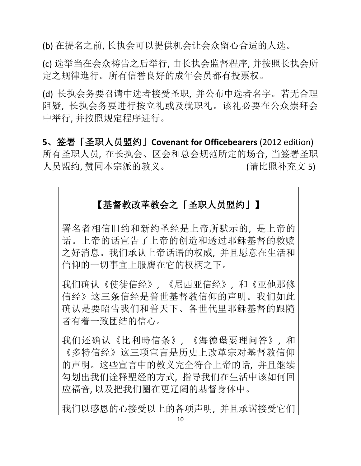(b) 在提名之前, 长执会可以提供机会让会众留心合适的人选。

(c) 选举当在会众祷告之后举行, 由长执会监督程序, 并按照长执会所 定之规律進行。所有信誉良好的成年会员都有投票权。

(d) 长执会务要召请中选者接受圣职, 并公布中选者名字。若无合理 阻疑, 长执会务要进行按立礼或及就职礼。该礼必要在公众崇拜会 中举行, 并按照规定程序进行。

**5**、签署「圣职人员盟约」**Covenant for Officebearers** (2012 edition) 所有圣职人员, 在长执会、区会和总会规范所定的场合, 当签署圣职 人员盟约, 赞同本宗派的教义。 (请比照补充文 5)

## 【基督教改革教会之「圣职人员盟约」】

署名者相信旧约和新约圣经是上帝所默示的, 是上帝的 话。上帝的话宣告了上帝的创造和透过耶稣基督的救赎 之好消息。我们承认上帝话语的权威, 并且愿意在生活和 信仰的一切事宜上服膺在它的权柄之下。

我们确认《使徒信经》, 《尼西亚信经》, 和《亚他那修 信经》这三条信经是普世基督教信仰的声明。我们如此 确认是要昭告我们和普天下、各世代里耶稣基督的跟隨 者有着一致团结的信心。

我们还确认《比利時信条》, 《海德堡要理问答》, 和 《多特信经》这三项宣言是历史上改革宗对基督教信仰 的声明。这些宣言中的教义完全符合上帝的话, 并且继续 勾划出我们诠释聖经的方式, 指导我们在生活中该如何回 应福音, 以及把我们圈在更辽阔的基督身体中。

我们以感恩的心接受以上的各项声明, 并且承诺接受它们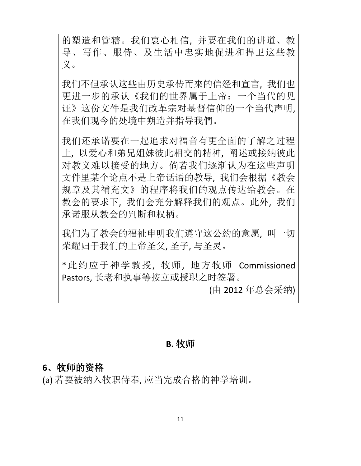的塑造和管辖。我们衷心相信, 并要在我们的讲道、教 导、写作、服侍、及生活中忠实地促进和捍卫这些教 义。

我们不但承认这些由历史承传而來的信经和宣言, 我们也 更进一步的承认《我们的世界属于上帝:一个当代的见 证》这份文件是我们改革宗对基督信仰的一个当代声明, 在我们现今的处境中朔造并指导我們。

我们还承诺要在一起追求对福音有更全面的了解之过程 上, 以爱心和弟兄姐妹彼此相交的精神, 阐述或接纳彼此 对教义难以接受的地方。倘若我们逐渐认为在这些声明 文件里某个论点不是上帝话语的教导, 我们会根据《教会 规章及其補充文》的程序将我们的观点传达给教会。在 教会的要求下, 我们会充分解释我们的观点。此外, 我们 承诺服从教会的判断和权柄。

我们为了教会的福祉申明我们遵守这公約的意愿, 叫一切 荣耀归于我们的上帝圣父, 圣子, 与圣灵。

\*此约应于神学教授, 牧师, 地方牧师 Commissioned Pastors, 长老和执事等按立或授职之时签署。

(由 2012 年总会采纳)

#### **B.** 牧师

#### **6**、牧师的资格

(a) 若要被纳入牧职侍奉, 应当完成合格的神学培训。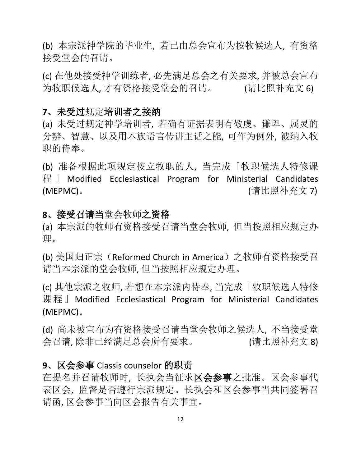(b) 本宗派神学院的毕业生, 若已由总会宣布为按牧候选人, 有资格 接受堂会的召请。

(c) 在他处接受神学训练者, 必先满足总会之有关要求, 并被总会宣布 为牧职候选人, 才有资格接受堂会的召请。 (请比照补充文 6)

#### **7**、未受过规定培训者之接纳

(a) 未受过规定神学培训者, 若确有证据表明有敬虔、谦卑、属灵的 分辨、智慧、以及用本族语言传讲主话之能, 可作为例外, 被纳入牧 职的侍奉。

(b) 准备根据此项规定按立牧职的人, 当完成「牧职候选人特修课 程 」 Modified Ecclesiastical Program for Ministerial Candidates (MEPMC)。 (请比照补充文 7)

#### **8**、接受召请当堂会牧师之资格

(a) 本宗派的牧师有资格接受召请当堂会牧师, 但当按照相应规定办 理。

(b) 美国归正宗 (Reformed Church in America) 之牧师有资格接受召 请当本宗派的堂会牧师, 但当按照相应规定办理。

(c) 其他宗派之牧师, 若想在本宗派内侍奉, 当完成「牧职候选人特修 课程」Modified Ecclesiastical Program for Ministerial Candidates (MEPMC)。

(d) 尚未被宣布为有资格接受召请当堂会牧师之候选人, 不当接受堂 会召请, 除非已经满足总会所有要求。 (请比照补充文 8)

## **9**、区会参事 Classis counselor 的职责

在提名并召请牧师时, 长执会当征求区会参事之批准。区会参事代 表区会, 监督是否遵行宗派规定。长执会和区会参事当共同签署召 请函, 区会参事当向区会报告有关事宜。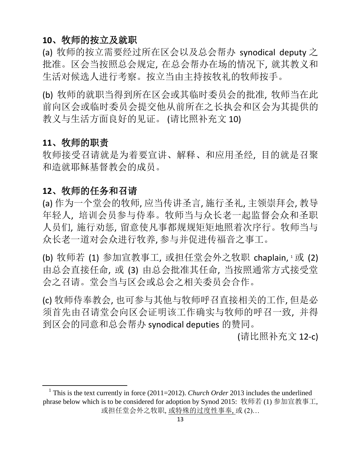## **10**、牧师的按立及就职

(a) 牧师的按立需要经过所在区会以及总会帮办 synodical deputy 之 批准。区会当按照总会规定, 在总会帮办在场的情况下, 就其教义和 生活对候选人进行考察。按立当由主持按牧礼的牧师按手。

(b) 牧师的就职当得到所在区会或其临时委员会的批准, 牧师当在此 前向区会或临时委员会提交他从前所在之长执会和区会为其提供的 教义与生活方面良好的见证。 (请比照补充文 10)

#### **11**、牧师的职责

 $\overline{a}$ 

牧师接受召请就是为着要宣讲、解释、和应用圣经, 目的就是召聚 和造就耶稣基督教会的成员。

#### **12**、牧师的任务和召请

(a) 作为一个堂会的牧师, 应当传讲圣言, 施行圣礼, 主领崇拜会, 教导 年轻人, 培训会员参与侍奉。牧师当与众长老一起监督会众和圣职 人员们, 施行劝惩, 留意使凡事都规规矩矩地照着次序行。牧师当与 众长老一道对会众进行牧养, 参与并促进传福音之事工。

(b) 牧师若 (1) 参加宣教事工, 或担任堂会外之牧职 chaplain, 1或 (2) 由总会直接任命, 或 (3) 由总会批准其任命, 当按照通常方式接受堂 会之召请。堂会当与区会或总会之相关委员会合作。

(c) 牧师侍奉教会, 也可参与其他与牧师呼召直接相关的工作, 但是必 须首先由召请堂会向区会证明该工作确实与牧师的呼召一致, 并得 到区会的同意和总会帮办 synodical deputies 的赞同。

(请比照补充文 12-c)

<sup>&</sup>lt;sup>1</sup> This is the text currently in force (2011=2012). *Church Order* 2013 includes the underlined phrase below which is to be considered for adoption by Synod 2015: 牧师若 (1) 参加宣教事工, 或担任堂会外之牧职, 或特殊的过度性事奉, 或 (2)…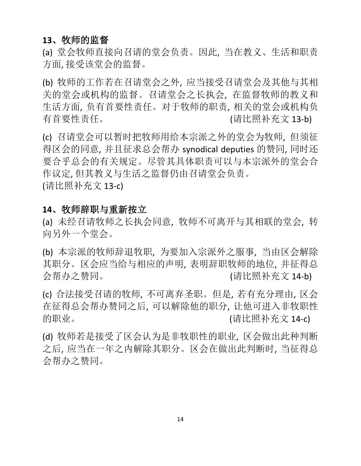## **13**、牧师的监督

(a) 堂会牧师直接向召请的堂会负责。因此, 当在教义、生活和职责 方面, 接受该堂会的监督。

(b) 牧师的工作若在召请堂会之外, 应当接受召请堂会及其他与其相 关的堂会或机构的监督。召请堂会之长执会, 在监督牧师的教义和 生活方面, 负有首要性责任。对于牧师的职责, 相关的堂会或机构负 有首要性责任。 (请比照补充文 13-b)

(c) 召请堂会可以暂时把牧师用给本宗派之外的堂会为牧师, 但须征 得区会的同意, 并且征求总会帮办 synodical deputies 的赞同, 同时还 要合乎总会的有关规定。尽管其具体职责可以与本宗派外的堂会合 作议定, 但其教义与生活之监督仍由召请堂会负责。 (请比照补充文 13-c)

#### **14**、牧师辞职与重新按立

(a) 未经召请牧师之长执会同意, 牧师不可离开与其相联的堂会, 转 向另外一个堂会。

(b) 本宗派的牧师辞退牧职, 为要加入宗派外之服事, 当由区会解除 其职分。区会应当给与相应的声明, 表明辞职牧师的地位, 并征得总 会帮办之赞同。 (请比照补充文 14-b)

(c) 合法接受召请的牧师, 不可离弃圣职。但是, 若有充分理由, 区会 在征得总会帮办赞同之后, 可以解除他的职分, 让他可进入非牧职性 的职业。 (请比照补充文 14-c)

(d) 牧师若是接受了区会认为是非牧职性的职业, 区会做出此种判断 之后, 应当在一年之内解除其职分。区会在做出此判断时, 当征得总 会帮办之赞同。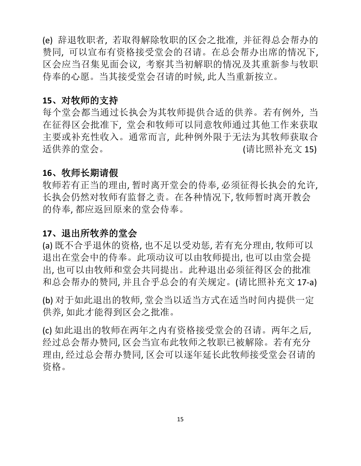(e) 辞退牧职者, 若取得解除牧职的区会之批准, 并征得总会帮办的 赞同, 可以宣布有资格接受堂会的召请。在总会帮办出席的情况下, 区会应当召集见面会议, 考察其当初解职的情况及其重新参与牧职 侍奉的心愿。当其接受堂会召请的时候, 此人当重新按立。

#### **15**、对牧师的支持

每个堂会都当通过长执会为其牧师提供合适的供养。若有例外, 当 在征得区会批准下, 堂会和牧师可以同意牧师通过其他工作来获取 主要或补充性收入。通常而言, 此种例外限于无法为其牧师获取合 适供养的堂会。 (请比照补充文 15)

## **16**、牧师长期请假

牧师若有正当的理由, 暂时离开堂会的侍奉, 必须征得长执会的允许, 长执会仍然对牧师有监督之责。在各种情况下, 牧师暂时离开教会 的侍奉, 都应返回原来的堂会侍奉。

#### **17**、退出所牧养的堂会

(a) 既不合乎退休的资格, 也不足以受劝惩, 若有充分理由, 牧师可以 退出在堂会中的侍奉。此项动议可以由牧师提出, 也可以由堂会提 出, 也可以由牧师和堂会共同提出。此种退出必须征得区会的批准 和总会帮办的赞同, 并且合乎总会的有关规定。(请比照补充文 17-a)

(b) 对于如此退出的牧师, 堂会当以适当方式在适当时间内提供一定 供养, 如此才能得到区会之批准。

(c) 如此退出的牧师在两年之内有资格接受堂会的召请。两年之后, 经过总会帮办赞同, 区会当宣布此牧师之牧职已被解除。若有充分 理由, 经过总会帮办赞同, 区会可以逐年延长此牧师接受堂会召请的 资格。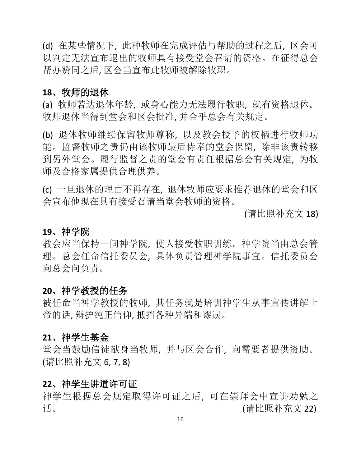(d) 在某些情况下, 此种牧师在完成评估与帮助的过程之后, 区会可 以判定无法宣布退出的牧师具有接受堂会召请的资格。在征得总会 帮办赞同之后, 区会当宣布此牧师被解除牧职。

#### **18**、牧师的退休

(a) 牧师若达退休年龄, 或身心能力无法履行牧职, 就有资格退休。 牧师退休当得到堂会和区会批准, 并合乎总会有关规定。

(b) 退休牧师继续保留牧师尊称, 以及教会授予的权柄进行牧师功 能。监督牧师之责仍由该牧师最后侍奉的堂会保留, 除非该责转移 到另外堂会。履行监督之责的堂会有责任根据总会有关规定, 为牧 师及合格家属提供合理供养。

(c) 一旦退休的理由不再存在, 退休牧师应要求推荐退休的堂会和区 会宣布他现在具有接受召请当堂会牧师的资格。

(请比照补充文 18)

#### **19**、神学院

教会应当保持一间神学院, 使人接受牧职训练。神学院当由总会管 理。总会任命信托委员会, 具体负责管理神学院事宜。信托委员会 向总会向负责。

#### **20**、神学教授的任务

被任命当神学教授的牧师, 其任务就是培训神学生从事宣传讲解上 帝的话, 辩护纯正信仰, 抵挡各种异端和谬误。

#### **21**、神学生基金

堂会当鼓励信徒献身当牧师, 并与区会合作, 向需要者提供资助。 (请比照补充文 6, 7, 8)

#### **22**、神学生讲道许可证

神学生根据总会规定取得许可证之后, 可在崇拜会中宣讲劝勉之 话。 (请比照补充文 22)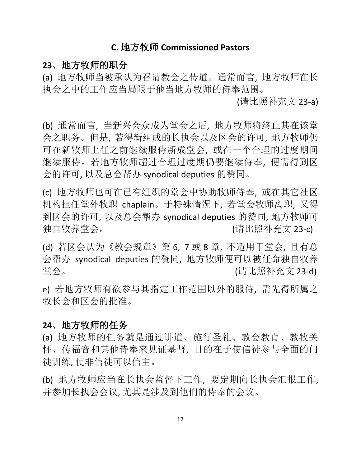#### **C.** 地方牧师 **Commissioned Pastors**

#### **23**、地方牧师的职分

(a) 地方牧师当被承认为召请教会之传道。通常而言, 地方牧师在长 执会之中的工作应当局限于他当地方牧师的侍奉范围。

(请比照补充文 23-a)

(b) 通常而言, 当新兴会众成为堂会之后, 地方牧师将终止其在该堂 会之职务。但是, 若得新组成的长执会以及区会的许可, 地方牧师仍 可在新牧师上任之前继续服侍新成堂会, 或在一个合理的过度期间 继续服侍。若地方牧师超过合理过度期仍要继续侍奉, 便需得到区 会的许可, 以及总会帮办 synodical deputies 的赞同。

(c) 地方牧师也可在已有组织的堂会中协助牧师侍奉, 或在其它社区 机构担任堂外牧职 chaplain。于特殊情況下, 若堂会牧师离职, 又得 到区会的许可, 以及总会帮办 synodical deputies 的赞同, 地方牧师可 独自牧养堂会。 (请比照补充文 23-c)

(d) 若区会认为《教会规章》第 6, 7 或 8 章, 不适用于堂会, 且有总 会帮办 synodical deputies 的赞同, 地方牧师便可以被任命独自牧养 堂会。 (请比照补充文 23-d)

e) 若地方牧师有欲参与其指定工作范围以外的服侍, 需先得所属之 牧长会和区会的批准。

#### **24**、地方牧师的任务

(a) 地方牧师的任务就是通过讲道、施行圣礼、教会教育、教牧关 怀、传福音和其他侍奉来见证基督, 目的在于使信徒参与全面的门 徒训练, 使非信徒可以信主。

(b) 地方牧师应当在长执会监督下工作, 要定期向长执会汇报工作, 并参加长执会会议, 尤其是涉及到他们的侍奉的会议。

17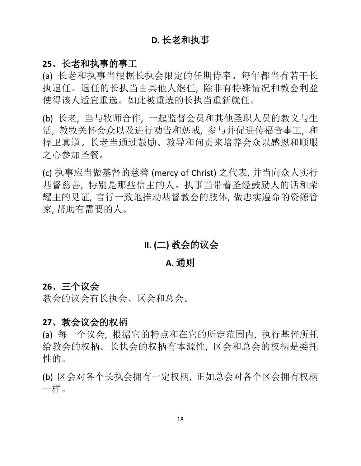## **D.** 长老和执事

#### **25**、长老和执事的事工

(a) 长老和执事当根据长执会限定的任期侍奉。每年都当有若干长 执退任。退任的长执当由其他人继任, 除非有特殊情况和教会利益 使得该人适宜重选。如此被重选的长执当重新就任。

(b) 长老, 当与牧师合作, 一起监督会员和其他圣职人员的教义与生 活, 教牧关怀会众以及进行劝告和惩戒, 参与并促进传福音事工, 和 捍卫真道。长老当通过鼓励、教导和问责来培养会众以感恩和顺服 之心参加圣餐。

(c) 执事应当做基督的慈善 (mercy of Christ) 之代表, 并当向众人实行 基督慈善, 特别是那些信主的人。执事当带着圣经鼓励人的话和荣 耀主的见证, 言行一致地推动基督教会的肢体, 做忠实遵命的资源管 家, 帮助有需要的人。

## **II. (**二**)** 教会的议会

#### **A.** 通则

#### **26**、三个议会

教会的议会有长执会、区会和总会。

#### **27**、教会议会的权柄

(a) 每一个议会, 根据它的特点和在它的所定范围内, 执行基督所托 给教会的权柄。长执会的权柄有本源性, 区会和总会的权柄是委托 性的。

(b) 区会对各个长执会拥有一定权柄, 正如总会对各个区会拥有权柄 一样。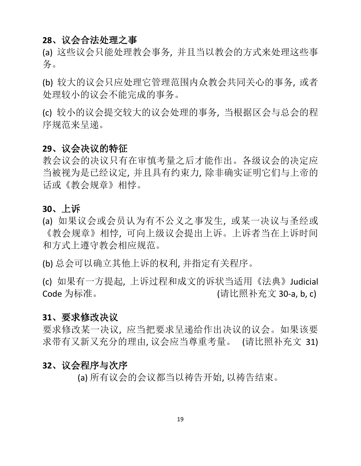#### **28**、议会合法处理之事

(a) 这些议会只能处理教会事务, 并且当以教会的方式来处理这些事 务。

(b) 较大的议会只应处理它管理范围内众教会共同关心的事务, 或者 处理较小的议会不能完成的事务。

(c) 较小的议会提交较大的议会处理的事务, 当根据区会与总会的程 序规范来呈递。

#### **29**、议会决议的特征

教会议会的决议只有在审慎考量之后才能作出。各级议会的决定应 当被视为是已经议定, 并且具有约束力, 除非确实证明它们与上帝的 话或《教会规章》相悖。

#### **30**、上诉

(a) 如果议会或会员认为有不公义之事发生, 或某一决议与圣经或 《教会规章》相悖, 可向上级议会提出上诉。上诉者当在上诉时间 和方式上遵守教会相应规范。

(b) 总会可以确立其他上诉的权利, 并指定有关程序。

(c) 如果有一方提起, 上诉过程和成文的诉状当适用《法典》Judicial Code 为标准。 (请比照补充文 30-a, b, c)

#### **31**、要求修改决议

要求修改某一决议, 应当把要求呈递给作出决议的议会。如果该要 求带有又新又充分的理由, 议会应当尊重考量。 (请比照补充文 31)

#### **32**、议会程序与次序

(a) 所有议会的会议都当以祷告开始, 以祷告结束。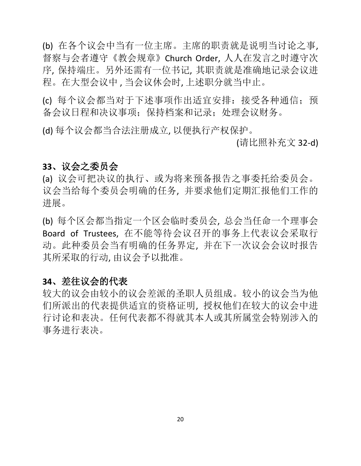(b) 在各个议会中当有一位主席。主席的职责就是说明当讨论之事, 督察与会者遵守《教会规章》Church Order, 人人在发言之时遵守次 序, 保持端庄。另外还需有一位书记, 其职责就是准确地记录会议进 程。在大型会议中 , 当会议休会时, 上述职分就当中止。

(c) 每个议会都当对于下述事项作出适宜安排:接受各种通信;预 备会议日程和决议事项;保持档案和记录;处理会议财务。

(d) 每个议会都当合法注册成立, 以便执行产权保护。

(请比照补充文 32-d)

#### **33**、议会之委员会

(a) 议会可把决议的执行、或为将来预备报告之事委托给委员会。 议会当给每个委员会明确的任务, 并要求他们定期汇报他们工作的 进展。

(b) 每个区会都当指定一个区会临时委员会, 总会当任命一个理事会 Board of Trustees, 在不能等待会议召开的事务上代表议会采取行 动。此种委员会当有明确的任务界定, 并在下一次议会会议时报告 其所采取的行动, 由议会予以批准。

## **34**、差往议会的代表

较大的议会由较小的议会差派的圣职人员组成。较小的议会当为他 们所派出的代表提供适宜的资格证明, 授权他们在较大的议会中进 行讨论和表决。任何代表都不得就其本人或其所属堂会特别涉入的 事务进行表决。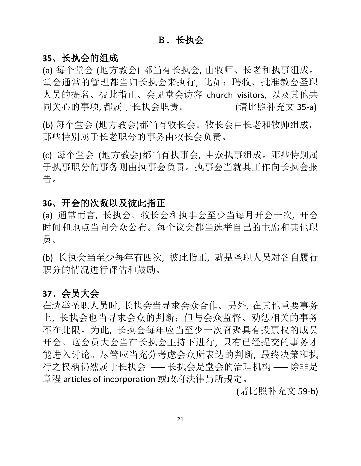#### B.长执会

#### **35**、长执会的组成

(a) 每个堂会 (地方教会) 都当有长执会, 由牧师、长老和执事组成。 堂会通常的管理都当归长执会来执行, 比如:聘牧、批准教会圣职 人员的提名、彼此指正、会见堂会访客 church visitors, 以及其他共 同关心的事项, 都属于长执会职责。 (请比照补充文 35-a)

(b) 每个堂会 (地方教会)都当有牧长会。牧长会由长老和牧师组成。 那些特别属于长老职分的事务由牧长会负责。

(c) 每个堂会 (地方教会)都当有执事会, 由众执事组成。那些特别属 于执事职分的事务则由执事会负责。执事会当就其工作向长执会报 告。

#### **36**、开会的次数以及彼此指正

(a) 通常而言, 长执会、牧长会和执事会至少当每月开会一次, 开会 时间和地点当向会众公布。每个议会都当选举自己的主席和其他职 员。

(b) 长执会当至少每年有四次, 彼此指正, 就是圣职人员对各自履行 职分的情况进行评估和鼓励。

#### **37**、会员大会

在选举圣职人员时, 长执会当寻求会众合作。另外, 在其他重要事务 上, 长执会也当寻求会众的判断;但与会众监督、劝惩相关的事务 不在此限。为此, 长执会每年应当至少一次召聚具有投票权的成员 开会。这会员大会当在长执会主持下进行, 只有已经提交的事务才 能进入讨论。尽管应当充分考虑会众所表达的判断, 最终决策和执 行之权柄仍然属于长执会 ––– 长执会是堂会的治理机构 ––– 除非是 章程 articles of incorporation 或政府法律另所规定。

(请比照补充文 59-b)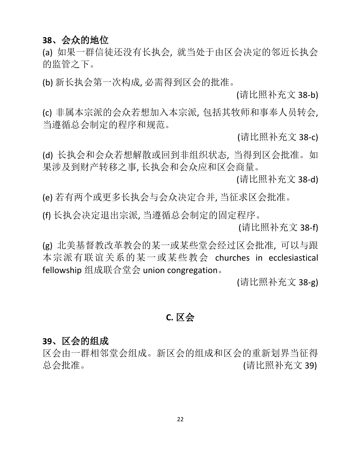## **38**、会众的地位

(a) 如果一群信徒还没有长执会, 就当处于由区会决定的邻近长执会 的监管之下。

(b) 新长执会第一次构成, 必需得到区会的批准。

(请比照补充文 38-b)

(c) 非属本宗派的会众若想加入本宗派, 包括其牧师和事奉人员转会, 当遵循总会制定的程序和规范。

(请比照补充文 38-c)

(d) 长执会和会众若想解散或回到非组织状态, 当得到区会批准。如 果涉及到财产转移之事, 长执会和会众应和区会商量。

(请比照补充文 38-d)

(e) 若有两个或更多长执会与会众决定合并, 当征求区会批准。

(f) 长执会决定退出宗派, 当遵循总会制定的固定程序。

(请比照补充文 38-f)

(g) 北美基督教改革教会的某一或某些堂会经过区会批准, 可以与跟 本宗派有联谊关系的某一或某些教会 churches in ecclesiastical fellowship 组成联合堂会 union congregation。

(请比照补充文 38-g)

## **C.** 区会

#### **39**、区会的组成

区会由一群相邻堂会组成。新区会的组成和区会的重新划界当征得 总会批准。 (请会计) (请比照补充文 39)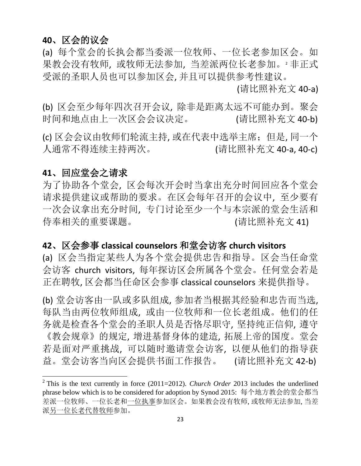## **40**、区会的议会

(a) 每个堂会的长执会都当委派一位牧师、一位长老参加区会。如 果教会没有牧师, 或牧师无法参加, 当差派两位长老参加。<sup>2</sup> 非正式 受派的圣职人员也可以参加区会, 并且可以提供参考性建议。

(请比照补充文 40-a)

(b) 区会至少每年四次召开会议, 除非是距离太远不可能办到。聚会 时间和地点由上一次区会会议决定。 (请比照补充文 40-b)

(c) 区会会议由牧师们轮流主持, 或在代表中选举主席;但是, 同一个 人通常不得连续主持两次。 (请比照补充文 40-a, 40-c)

#### **41**、回应堂会之请求

为了协助各个堂会, 区会每次开会时当拿出充分时间回应各个堂会 请求提供建议或帮助的要求。在区会每年召开的会议中, 至少要有 一次会议拿出充分时间, 专门讨论至少一个与本宗派的堂会生活和 侍奉相关的重要课题。 (请比照补充文 41)

## **42**、区会参事 **classical counselors** 和堂会访客 **church visitors**

(a) 区会当指定某些人为各个堂会提供忠告和指导。区会当任命堂 会访客 church visitors, 每年探访区会所属各个堂会。任何堂会若是 正在聘牧, 区会都当任命区会参事 classical counselors 来提供指导。

(b) 堂会访客由一队或多队组成, 参加者当根据其经验和忠告而当选, 每队当由两位牧师组成, 或由一位牧师和一位长老组成。他们的任 务就是检查各个堂会的圣职人员是否恪尽职守, 坚持纯正信仰, 遵守 《教会规章》的规定, 增进基督身体的建造, 拓展上帝的国度。堂会 若是面对严重挑战, 可以随时邀请堂会访客, 以便从他们的指导获 益。堂会访客当向区会提供书面工作报告。 (请比照补充文 42-b)

<sup>&</sup>lt;sup>2</sup> This is the text currently in force (2011=2012). *Church Order* 2013 includes the underlined phrase below which is to be considered for adoption by Synod 2015: 每个地方教会的堂会都当 差派一位牧师、一位长老和一位执事参加区会。如果教会没有牧师, 或牧师无法参加, 当差 派另一位长老代替牧师参加。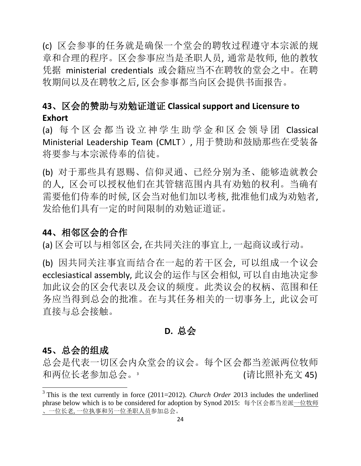(c) 区会参事的任务就是确保一个堂会的聘牧过程遵守本宗派的规 章和合理的程序。区会参事应当是圣职人员, 通常是牧师, 他的教牧 凭据 ministerial credentials 或会籍应当不在聘牧的堂会之中。在聘 牧期间以及在聘牧之后, 区会参事都当向区会提供书面报告。

## **43**、区会的赞助与劝勉证道证 **Classical support and Licensure to Exhort**

(a) 每 个 区 会 都 当 设 立 神 学 生 助 学 金 和 区 会 领 导 团 Classical Ministerial Leadership Team (CMLT), 用于赞助和鼓励那些在受装备 将要参与本宗派侍奉的信徒。

(b) 对于那些具有恩赐、信仰灵通、已经分别为圣、能够造就教会 的人, 区会可以授权他们在其管辖范围内具有劝勉的权利。当确有 需要他们侍奉的时候, 区会当对他们加以考核, 批准他们成为劝勉者, 发给他们具有一定的时间限制的劝勉证道证。

#### **44**、相邻区会的合作

(a) 区会可以与相邻区会, 在共同关注的事宜上, 一起商议或行动。

(b) 因共同关注事宜而结合在一起的若干区会, 可以组成一个议会 ecclesiastical assembly, 此议会的运作与区会相似, 可以自由地决定参 加此议会的区会代表以及会议的频度。此类议会的权柄、范围和任 务应当得到总会的批准。在与其任务相关的一切事务上, 此议会可 直接与总会接触。

## **D.** 总会

#### **45**、总会的组成

总会是代表一切区会内众堂会的议会。每个区会都当差派两位牧师 和两位长老参加总会。 (请比照补充文 45)

<sup>&</sup>lt;sup>3</sup> This is the text currently in force (2011=2012). *Church Order* 2013 includes the underlined phrase below which is to be considered for adoption by Synod 2015: 每个区会都当差派一位牧师 、一位长老, 一位执事和另一位圣职人员参加总会。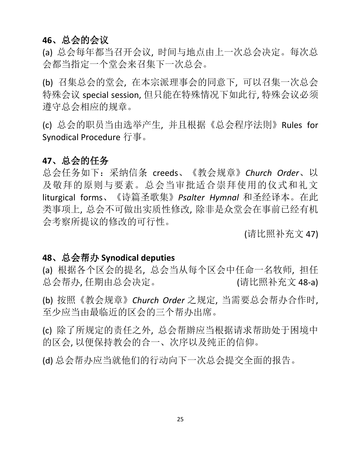## **46**、总会的会议

(a) 总会每年都当召开会议, 时间与地点由上一次总会决定。每次总 会都当指定一个堂会来召集下一次总会。

(b) 召集总会的堂会, 在本宗派理事会的同意下, 可以召集一次总会 特殊会议 special session, 但只能在特殊情况下如此行, 特殊会议必须 遵守总会相应的规章。

(c) 总会的职员当由选举产生, 并且根据《总会程序法則》Rules for Synodical Procedure 行事。

## **47**、总会的任务

总会任务如下:采纳信条 creeds、《教会规章》*Church Order*、以 及敬拜的原则与要素。总会当审批适合崇拜使用的仪式和礼文 liturgical forms、《诗篇圣歌集》*Psalter Hymnal* 和圣经译本。在此 类事项上, 总会不可做出实质性修改, 除非是众堂会在事前已经有机 会考察所提议的修改的可行性。

(请比照补充文 47)

#### **48**、总会帮办 **Synodical deputies**

(a) 根据各个区会的提名, 总会当从每个区会中任命一名牧师, 担任 总会帮办,任期由总会决定。 (请比照补充文 48-a)

(b) 按照《教会规章》*Church Order* 之规定, 当需要总会帮办合作时, 至少应当由最临近的区会的三个帮办出席。

(c) 除了所规定的责任之外, 总会帮辦应当根据请求帮助处于困境中 的区会, 以便保持教会的合一、次序以及纯正的信仰。

(d) 总会帮办应当就他们的行动向下一次总会提交全面的报告。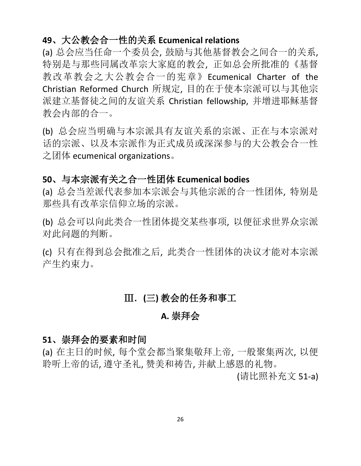## **49**、大公教会合一性的关系 **Ecumenical relations**

(a) 总会应当任命一个委员会, 鼓励与其他基督教会之间合一的关系, 特别是与那些同属改革宗大家庭的教会, 正如总会所批准的《基督 教改革教会之大公教会合一的宪章》Ecumenical Charter of the Christian Reformed Church 所规定, 目的在于使本宗派可以与其他宗 派建立基督徒之间的友谊关系 Christian fellowship, 并增进耶稣基督 教会内部的合一。

(b) 总会应当明确与本宗派具有友谊关系的宗派、正在与本宗派对 话的宗派、以及本宗派作为正式成员或深深参与的大公教会合一性 之团体 ecumenical organizations。

## **50**、与本宗派有关之合一性团体 **Ecumenical bodies**

(a) 总会当差派代表参加本宗派会与其他宗派的合一性团体, 特别是 那些具有改革宗信仰立场的宗派。

(b) 总会可以向此类合一性团体提交某些事项, 以便征求世界众宗派 对此问题的判断。

(c) 只有在得到总会批准之后, 此类合一性团体的决议才能对本宗派 产生约束力。

## Ⅲ.**(**三**)** 教会的任务和事工

## **A.** 崇拜会

#### **51**、崇拜会的要素和时间

(a) 在主日的时候, 每个堂会都当聚集敬拜上帝, 一般聚集两次, 以便 聆听上帝的话, 遵守圣礼, 赞美和祷告, 并献上感恩的礼物。

(请比照补充文 51-a)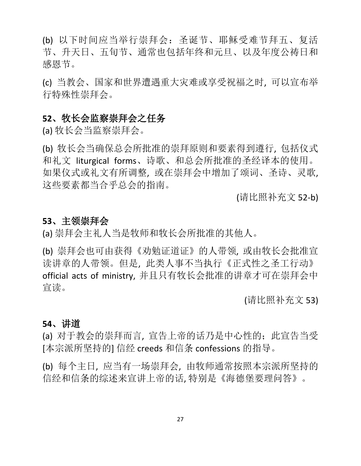(b) 以下时间应当举行崇拜会:圣诞节、耶稣受难节拜五、复活 节、升天日、五旬节、通常也包括年终和元旦、以及年度公祷日和 感恩节。

(c) 当教会、国家和世界遭遇重大灾难或享受祝福之时, 可以宣布举 行特殊性崇拜会。

#### **52**、牧长会监察崇拜会之任务

(a) 牧长会当监察崇拜会。

(b) 牧长会当确保总会所批准的崇拜原则和要素得到遵行, 包括仪式 和礼文 liturgical forms、诗歌、和总会所批准的圣经译本的使用。 如果仪式或礼文有所调整, 或在崇拜会中增加了颂词、圣诗、灵歌, 这些要素都当合乎总会的指南。

(请比照补充文 52-b)

#### **53**、主领崇拜会

(a) 崇拜会主礼人当是牧师和牧长会所批准的其他人。

(b) 崇拜会也可由获得《劝勉证道证》的人带领, 或由牧长会批准宣 读讲章的人带领。但是, 此类人事不当执行《正式性之圣工行动》 official acts of ministry, 并且只有牧长会批准的讲章才可在崇拜会中 宣读。

(请比照补充文 53)

#### **54**、讲道

(a) 对于教会的崇拜而言, 宣告上帝的话乃是中心性的;此宣告当受 [本宗派所坚持的] 信经 creeds 和信条 confessions 的指导。

(b) 每个主日, 应当有一场崇拜会, 由牧师通常按照本宗派所坚持的 信经和信条的综述来宣讲上帝的话, 特别是《海德堡要理问答》。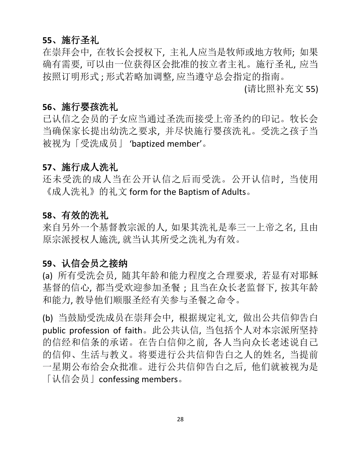## **55**、施行圣礼

在崇拜会中, 在牧长会授权下, 主礼人应当是牧师或地方牧师; 如果 确有需要, 可以由一位获得区会批准的按立者主礼。施行圣礼, 应当 按照订明形式 ; 形式若略加调整, 应当遵守总会指定的指南。

(请比照补充文 55)

#### **56**、施行婴孩洗礼

已认信之会员的子女应当通过圣洗而接受上帝圣约的印记。牧长会 当确保家长提出幼洗之要求, 并尽快施行婴孩洗礼。受洗之孩子当 被视为「受洗成员」 'baptized member'。

## **57**、施行成人洗礼

还未受洗的成人当在公开认信之后而受洗。公开认信时, 当使用 《成人洗礼》的礼文 form for the Baptism of Adults。

#### **58**、有效的洗礼

来自另外一个基督教宗派的人, 如果其洗礼是奉三一上帝之名, 且由 原宗派授权人施洗, 就当认其所受之洗礼为有效。

#### **59**、认信会员之接纳

(a) 所有受洗会员, 随其年龄和能力程度之合理要求, 若显有对耶稣 基督的信心, 都当受欢迎参加圣餐 ; 且当在众长老监督下, 按其年龄 和能力, 教导他们顺服圣经有关参与圣餐之命令。

(b) 当鼓励受洗成员在崇拜会中, 根据规定礼文, 做出公共信仰告白 public profession of faith。此公共认信, 当包括个人对本宗派所坚持 的信经和信条的承诺。在告白信仰之前, 各人当向众长老述说自己 的信仰、生活与教义。将要进行公共信仰告白之人的姓名, 当提前 一星期公布给会众批准。进行公共信仰告白之后, 他们就被视为是 「认信会员」confessing members。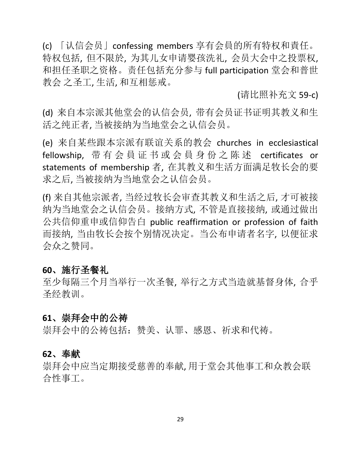(c) 「认信会员」confessing members 享有会員的所有特权和責任。 特权包括, 但不限於, 为其儿女申请婴孩洗礼, 会员大会中之投票权, 和担任圣职之资格。责任包括充分参与 full participation 堂会和普世 教会 之圣工, 生活, 和互相惩戒。

(请比照补充文 59-c)

(d) 来自本宗派其他堂会的认信会员, 带有会员证书证明其教义和生 活之纯正者, 当被接纳为当地堂会之认信会员。

(e) 来自某些跟本宗派有联谊关系的教会 churches in ecclesiastical fellowship, 带有会員证书或会員身份之陈述 certificates or statements of membership 者, 在其教义和生活方面满足牧长会的要 求之后, 当被接纳为当地堂会之认信会员。

(f) 来自其他宗派者, 当经过牧长会审查其教义和生活之后, 才可被接 纳为当地堂会之认信会员。接纳方式, 不管是直接接纳, 或通过做出 公共信仰重申或信仰告白 public reaffirmation or profession of faith 而接纳, 当由牧长会按个别情况决定。当公布申请者名字, 以便征求 会众之赞同。

#### **60**、施行圣餐礼

至少每隔三个月当举行一次圣餐, 举行之方式当造就基督身体, 合乎 圣经教训。

#### **61**、崇拜会中的公祷

崇拜会中的公祷包括:赞美、认罪、感恩、祈求和代祷。

#### **62**、奉献

崇拜会中应当定期接受慈善的奉献, 用于堂会其他事工和众教会联 合性事工。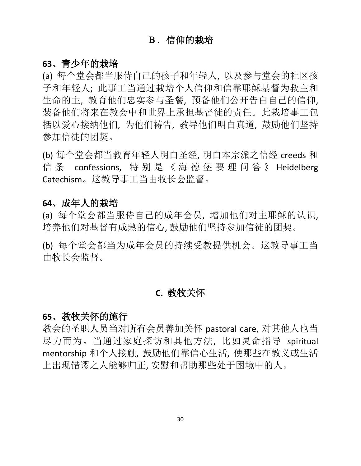## B.信仰的栽培

#### **63**、青少年的栽培

(a) 每个堂会都当服侍自己的孩子和年轻人, 以及参与堂会的社区孩 子和年轻人; 此事工当通过栽培个人信仰和信靠耶稣基督为救主和 生命的主, 教育他们忠实参与圣餐, 预备他们公开告白自己的信仰, 装备他们将来在教会中和世界上承担基督徒的责任。此栽培事工包 括以爱心接纳他们, 为他们祷告, 教导他们明白真道, 鼓励他们坚持 参加信徒的团契。

(b) 每个堂会都当教育年轻人明白圣经, 明白本宗派之信经 creeds 和 信 条 confessions, 特 别 是 《 海 德 堡 要 理 问 答 》 Heidelberg Catechism。这教导事工当由牧长会监督。

#### **64**、成年人的栽培

(a) 每个堂会都当服侍自己的成年会员, 增加他们对主耶稣的认识, 培养他们对基督有成熟的信心, 鼓励他们坚持参加信徒的团契。

(b) 每个堂会都当为成年会员的持续受教提供机会。这教导事工当 由牧长会监督。

## **C.** 教牧关怀

#### **65**、教牧关怀的施行

教会的圣职人员当对所有会员善加关怀 pastoral care, 对其他人也当 尽力而为。当通过家庭探访和其他方法, 比如灵命指导 spiritual mentorship 和个人接触, 鼓励他们靠信心生活, 使那些在教义或生活 上出现错谬之人能够归正, 安慰和帮助那些处于困境中的人。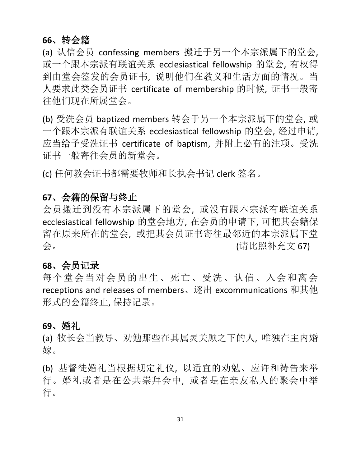## **66**、转会籍

(a) 认信会员 confessing members 搬迁于另一个本宗派属下的堂会, 或一个跟本宗派有联谊关系 ecclesiastical fellowship 的堂会, 有权得 到由堂会签发的会员证书, 说明他们在教义和生活方面的情况。当 人要求此类会员证书 certificate of membership 的时候, 证书一般寄 往他们现在所属堂会。

(b) 受洗会员 baptized members 转会于另一个本宗派属下的堂会, 或 一个跟本宗派有联谊关系 ecclesiastical fellowship 的堂会, 经过申请, 应当给予受洗证书 certificate of baptism, 并附上必有的注项。受洗 证书一般寄往会员的新堂会。

(c) 任何教会证书都需要牧师和长执会书记 clerk 签名。

#### **67**、会籍的保留与终止

会员搬迁到没有本宗派属下的堂会, 或没有跟本宗派有联谊关系 ecclesiastical fellowship 的堂会地方, 在会员的申请下, 可把其会籍保 留在原来所在的堂会, 或把其会员证书寄往最邻近的本宗派属下堂 会。 (请比照补充文 67)

#### **68**、会员记录

每个堂会当对会员的出生、死亡、受洗、认信、入会和离会 receptions and releases of members、逐出 excommunications 和其他 形式的会籍终止, 保持记录。

#### **69**、婚礼

(a) 牧长会当教导、劝勉那些在其属灵关顾之下的人, 唯独在主内婚 嫁。

(b) 基督徒婚礼当根据规定礼仪, 以适宜的劝勉、应许和祷告来举 行。婚礼或者是在公共崇拜会中, 或者是在亲友私人的聚会中举 行。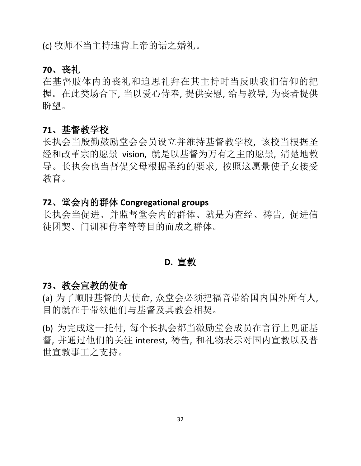(c) 牧师不当主持违背上帝的话之婚礼。

## **70**、丧礼

在基督肢体内的丧礼和追思礼拜在其主持时当反映我们信仰的把 握。在此类场合下, 当以爱心侍奉, 提供安慰, 给与教导, 为丧者提供 盼望。

#### **71**、基督教学校

长执会当殷勤鼓励堂会会员设立并维持基督教学校, 该校当根据圣 经和改革宗的愿景 vision, 就是以基督为万有之主的愿景, 清楚地教 导。长执会也当督促父母根据圣约的要求, 按照这愿景使子女接受 教育。

## **72**、堂会内的群体 **Congregational groups**

长执会当促进、并监督堂会内的群体、就是为查经、祷告, 促进信 徒团契、门训和侍奉等等目的而成之群体。

## **D.** 宣教

#### **73**、教会宣教的使命

(a) 为了顺服基督的大使命, 众堂会必须把福音带给国内国外所有人, 目的就在于带领他们与基督及其教会相契。

(b) 为完成这一托付, 每个长执会都当激励堂会成员在言行上见证基 督, 并通过他们的关注 interest, 祷告, 和礼物表示对国内宣教以及普 世宣教事工之支持。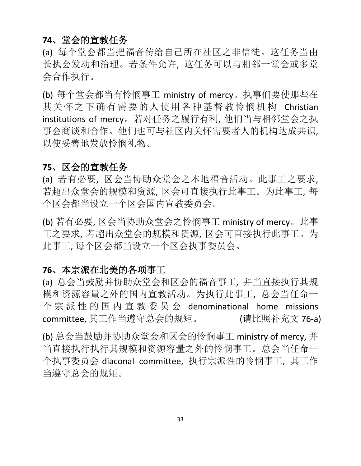## **74**、堂会的宣教任务

(a) 每个堂会都当把福音传给自己所在社区之非信徒。这任务当由 长执会发动和治理。若条件允许, 这任务可以与相邻一堂会或多堂 会合作执行。

(b) 每个堂会都当有怜悯事工 ministry of mercy。执事们要使那些在 其关怀之下确有需要的人使用各种基督教怜悯机构 Christian institutions of mercy。若对任务之履行有利, 他们当与相邻堂会之执 事会商谈和合作。他们也可与社区内关怀需要者人的机构达成共识, 以使妥善地发放怜悯礼物。

## **75**、区会的宣教任务

(a) 若有必要, 区会当协助众堂会之本地福音活动。此事工之要求, 若超出众堂会的规模和资源, 区会可直接执行此事工。为此事工, 每 个区会都当设立一个区会国内宣教委员会。

(b) 若有必要, 区会当协助众堂会之怜悯事工 ministry of mercy。此事 工之要求, 若超出众堂会的规模和资源, 区会可直接执行此事工。为 此事工, 每个区会都当设立一个区会执事委员会。

## **76**、本宗派在北美的各项事工

(a) 总会当鼓励并协助众堂会和区会的福音事工, 并当直接执行其规 模和资源容量之外的国内宣教活动。为执行此事工, 总会当任命一 个 宗 派 性 的 国 内 宣 教 委 员 会 denominational home missions committee, 其工作当遵守总会的规矩。 (请比照补充文 76-a)

(b) 总会当鼓励并协助众堂会和区会的怜悯事工 ministry of mercy, 并 当直接执行执行其规模和资源容量之外的怜悯事工。总会当任命一 个执事委员会 diaconal committee, 执行宗派性的怜悯事工, 其工作 当遵守总会的规矩。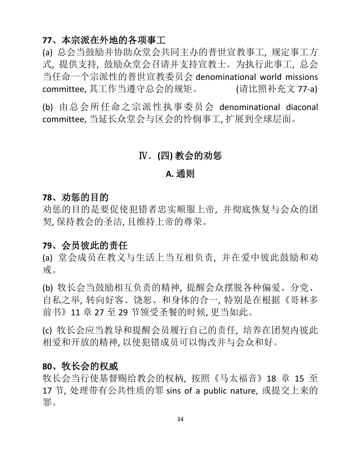#### **77**、本宗派在外地的各项事工

(a) 总会当鼓励并协助众堂会共同主办的普世宣教事工, 规定事工方 式, 提供支持, 鼓励众堂会召请并支持宣教士。为执行此事工, 总会 当任命一个宗派性的普世宣教委员会 denominational world missions committee, 其工作当遵守总会的规矩。 (请比照补充文 77-a)

(b) 由总会所任命之宗派性执事委员会 denominational diaconal committee, 当延长众堂会与区会的怜悯事工, 扩展到全球层面。

## Ⅳ.**(**四**)** 教会的劝惩

#### **A.** 通则

#### **78**、劝惩的目的

劝惩的目的是要促使犯错者忠实顺服上帝, 并彻底恢复与会众的团 契, 保持教会的圣洁, 且维持上帝的尊荣。

#### **79**、会员彼此的责任

(a) 堂会成员在教义与生活上当互相负责, 并在爱中彼此鼓励和劝 戒。

(b) 牧长会当鼓励相互负责的精神, 提醒会众摆脱各种偏爱、分党、 自私之举, 转向好客、饶恕、和身体的合一, 特别是在根据《哥林多 前书》11 章 27 至 29 节领受圣餐的时候, 更当如此。

(c) 牧长会应当教导和提醒会员履行自己的责任, 培养在团契内彼此 相爱和开放的精神, 以使犯错成员可以悔改并与会众和好。

#### **80**、牧长会的权威

牧长会当行使基督赐给教会的权柄, 按照《马太福音》18 章 15 至 17 节, 处理带有公共性质的罪 sins of a public nature, 或提交上来的 罪。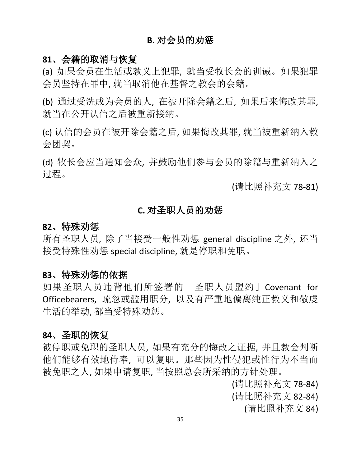## **B.** 对会员的劝惩

#### **81**、会籍的取消与恢复

(a) 如果会员在生活或教义上犯罪, 就当受牧长会的训诫。如果犯罪 会员坚持在罪中, 就当取消他在基督之教会的会籍。

(b) 通过受洗成为会员的人, 在被开除会籍之后, 如果后来悔改其罪, 就当在公开认信之后被重新接纳。

(c) 认信的会员在被开除会籍之后, 如果悔改其罪, 就当被重新纳入教 会团契。

(d) 牧长会应当通知会众, 并鼓励他们参与会员的除籍与重新纳入之 过程。

(请比照补充文 78-81)

#### **C.** 对圣职人员的劝惩

#### **82**、特殊劝惩

所有圣职人员, 除了当接受一般性劝惩 general discipline 之外, 还当 接受特殊性劝惩 special discipline, 就是停职和免职。

#### **83**、特殊劝惩的依据

如果圣职人员违背他们所签署的「圣职人员盟约」Covenant for Officebearers, 疏忽或滥用职分, 以及有严重地偏离纯正教义和敬虔 生活的举动, 都当受特殊劝惩。

#### **84**、圣职的恢复

被停职或免职的圣职人员, 如果有充分的悔改之证据, 并且教会判断 他们能够有效地侍奉, 可以复职。那些因为性侵犯或性行为不当而 被免职之人, 如果申请复职, 当按照总会所采纳的方针处理。

(请比照补充文 78-84)

(请比照补充文 82-84)

(请比照补充文 84)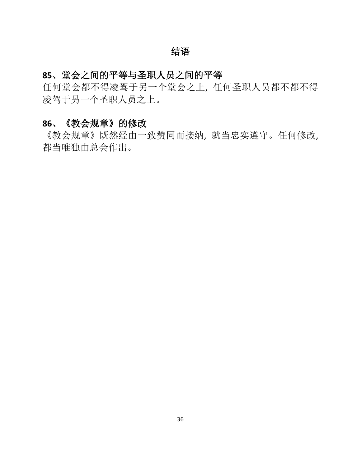## 结语

## **85**、堂会之间的平等与圣职人员之间的平等

任何堂会都不得凌驾于另一个堂会之上, 任何圣职人员都不都不得 凌驾于另一个圣职人员之上。

## **86**、《教会规章》的修改

《教会规章》既然经由一致赞同而接纳, 就当忠实遵守。任何修改, 都当唯独由总会作出。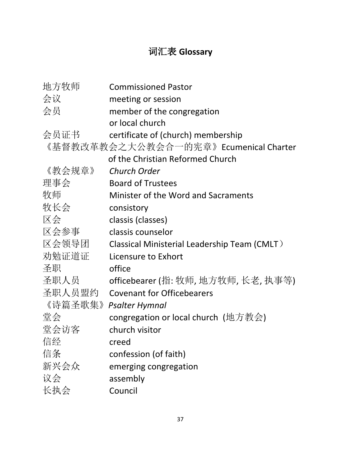## 词汇表 **Glossary**

| 地方牧师    | <b>Commissioned Pastor</b>                   |
|---------|----------------------------------------------|
| 会议      | meeting or session                           |
| 会员      | member of the congregation                   |
|         | or local church                              |
| 会员证书    | certificate of (church) membership           |
|         | 《基督教改革教会之大公教会合一的宪章》Ecumenical Charter        |
|         | of the Christian Reformed Church             |
| 《教会规章》  | <b>Church Order</b>                          |
| 理事会     | <b>Board of Trustees</b>                     |
| 牧师      | Minister of the Word and Sacraments          |
| 牧长会     | consistory                                   |
| 区会      | classis (classes)                            |
| 区会参事    | classis counselor                            |
| 区会领导团   | Classical Ministerial Leadership Team (CMLT) |
| 劝勉证道证   | Licensure to Exhort                          |
| 圣职      | office                                       |
| 圣职人员    | officebearer (指: 牧师, 地方牧师, 长老, 执事等)          |
| 圣职人员盟约  | <b>Covenant for Officebearers</b>            |
| 《诗篇圣歌集》 | <b>Psalter Hymnal</b>                        |
| 堂会      | congregation or local church (地方教会)          |
| 堂会访客    | church visitor                               |
| 信经      | creed                                        |
| 信条      | confession (of faith)                        |
| 新兴会众    | emerging congregation                        |
| 议会      | assembly                                     |
| 长执会     | Council                                      |